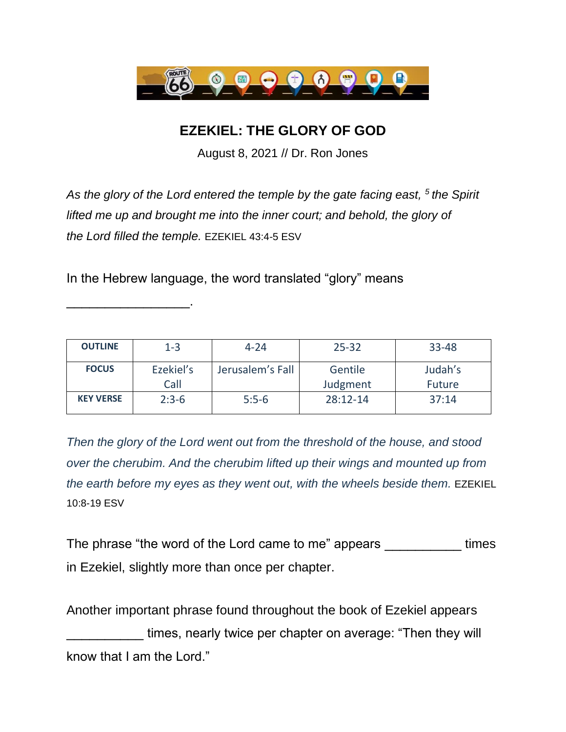

## **EZEKIEL: THE GLORY OF GOD**

August 8, 2021 // Dr. Ron Jones

*As the glory of the Lord entered the temple by the gate facing east, <sup>5</sup> the Spirit lifted me up and brought me into the inner court; and behold, the glory of the Lord filled the temple.* EZEKIEL 43:4-5 ESV

In the Hebrew language, the word translated "glory" means

\_\_\_\_\_\_\_\_\_\_\_\_\_\_\_\_.

| <b>OUTLINE</b>   | $1 - 3$   | $4 - 24$         | $25 - 32$    | 33-48         |
|------------------|-----------|------------------|--------------|---------------|
| <b>FOCUS</b>     | Ezekiel's | Jerusalem's Fall | Gentile      | Judah's       |
|                  | Call      |                  | Judgment     | <b>Future</b> |
| <b>KEY VERSE</b> | $2:3-6$   | $5:5-6$          | $28:12 - 14$ | 37:14         |

*Then the glory of the Lord went out from the threshold of the house, and stood over the cherubim. And the cherubim lifted up their wings and mounted up from the earth before my eyes as they went out, with the wheels beside them.* EZEKIEL 10:8-19 ESV

The phrase "the word of the Lord came to me" appears The phrase times in Ezekiel, slightly more than once per chapter.

Another important phrase found throughout the book of Ezekiel appears \_\_\_\_\_\_\_\_\_\_ times, nearly twice per chapter on average: "Then they will know that I am the Lord."